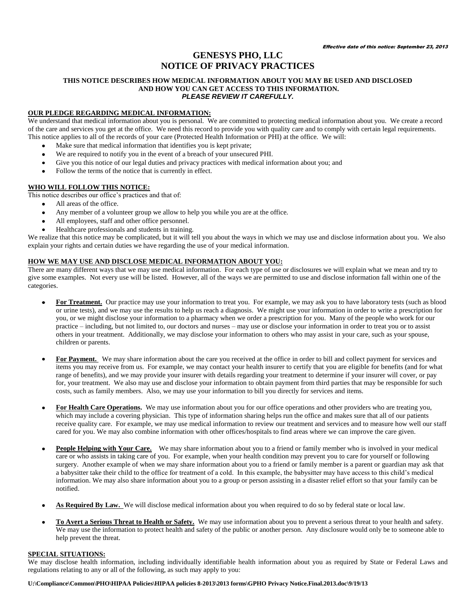# **GENESYS PHO, LLC NOTICE OF PRIVACY PRACTICES**

### **THIS NOTICE DESCRIBES HOW MEDICAL INFORMATION ABOUT YOU MAY BE USED AND DISCLOSED AND HOW YOU CAN GET ACCESS TO THIS INFORMATION.**  *PLEASE REVIEW IT CAREFULLY.*

# **OUR PLEDGE REGARDING MEDICAL INFORMATION:**

We understand that medical information about you is personal. We are committed to protecting medical information about you. We create a record of the care and services you get at the office. We need this record to provide you with quality care and to comply with certain legal requirements. This notice applies to all of the records of your care (Protected Health Information or PHI) at the office. We will:

- Make sure that medical information that identifies you is kept private;
- We are required to notify you in the event of a breach of your unsecured PHI.
- Give you this notice of our legal duties and privacy practices with medical information about you; and
- Follow the terms of the notice that is currently in effect.

# **WHO WILL FOLLOW THIS NOTICE:**

This notice describes our office's practices and that of:

- All areas of the office.
- Any member of a volunteer group we allow to help you while you are at the office.
- All employees, staff and other office personnel.
- Healthcare professionals and students in training.

We realize that this notice may be complicated, but it will tell you about the ways in which we may use and disclose information about you. We also explain your rights and certain duties we have regarding the use of your medical information.

# **HOW WE MAY USE AND DISCLOSE MEDICAL INFORMATION ABOUT YOU:**

There are many different ways that we may use medical information. For each type of use or disclosures we will explain what we mean and try to give some examples. Not every use will be listed. However, all of the ways we are permitted to use and disclose information fall within one of the categories.

- For Treatment. Our practice may use your information to treat you. For example, we may ask you to have laboratory tests (such as blood or urine tests), and we may use the results to help us reach a diagnosis. We might use your information in order to write a prescription for you, or we might disclose your information to a pharmacy when we order a prescription for you. Many of the people who work for our practice – including, but not limited to, our doctors and nurses – may use or disclose your information in order to treat you or to assist others in your treatment. Additionally, we may disclose your information to others who may assist in your care, such as your spouse, children or parents.
- For Payment. We may share information about the care you received at the office in order to bill and collect payment for services and items you may receive from us. For example, we may contact your health insurer to certify that you are eligible for benefits (and for what range of benefits), and we may provide your insurer with details regarding your treatment to determine if your insurer will cover, or pay for, your treatment. We also may use and disclose your information to obtain payment from third parties that may be responsible for such costs, such as family members. Also, we may use your information to bill you directly for services and items.
- For Health Care Operations. We may use information about you for our office operations and other providers who are treating you, which may include a covering physician. This type of information sharing helps run the office and makes sure that all of our patients receive quality care. For example, we may use medical information to review our treatment and services and to measure how well our staff cared for you. We may also combine information with other offices/hospitals to find areas where we can improve the care given.
- **People Helping with Your Care.** We may share information about you to a friend or family member who is involved in your medical care or who assists in taking care of you. For example, when your health condition may prevent you to care for yourself or following surgery. Another example of when we may share information about you to a friend or family member is a parent or guardian may ask that a babysitter take their child to the office for treatment of a cold. In this example, the babysitter may have access to this child's medical information. We may also share information about you to a group or person assisting in a disaster relief effort so that your family can be notified.
- **As Required By Law.** We will disclose medical information about you when required to do so by federal state or local law.
- **To Avert a Serious Threat to Health or Safety.** We may use information about you to prevent a serious threat to your health and safety. We may use the information to protect health and safety of the public or another person. Any disclosure would only be to someone able to help prevent the threat.

# **SPECIAL SITUATIONS:**

We may disclose health information, including individually identifiable health information about you as required by State or Federal Laws and regulations relating to any or all of the following, as such may apply to you:

#### **U:\Compliance\Common\PHO\HIPAA Policies\HIPAA policies 8-2013\2013 forms\GPHO Privacy Notice.Final.2013.doc\9/19/13**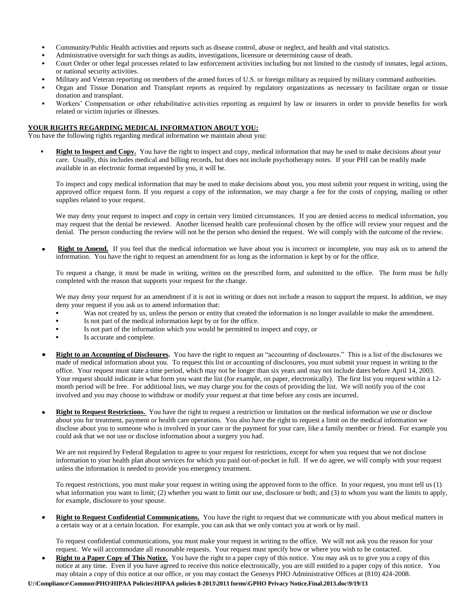- Community/Public Health activities and reports such as disease control, abuse or neglect, and health and vital statistics.
- **▪** Administrative oversight for such things as audits, investigations, licensure or determining cause of death.
- Court Order or other legal processes related to law enforcement activities including but not limited to the custody of inmates, legal actions, or national security activities.
- **▪** Military and Veteran reporting on members of the armed forces of U.S. or foreign military as required by military command authorities.
- Organ and Tissue Donation and Transplant reports as required by regulatory organizations as necessary to facilitate organ or tissue donation and transplant.
- Workers' Compensation or other rehabilitative activities reporting as required by law or insurers in order to provide benefits for work related or victim injuries or illnesses.

# **YOUR RIGHTS REGARDING MEDICAL INFORMATION ABOUT YOU:**

You have the following rights regarding medical information we maintain about you:

**Right to Inspect and Copy.** You have the right to inspect and copy, medical information that may be used to make decisions about your care. Usually, this includes medical and billing records, but does not include psychotherapy notes. If your PHI can be readily made available in an electronic format requested by you, it will be.

To inspect and copy medical information that may be used to make decisions about you, you must submit your request in writing, using the approved office request form. If you request a copy of the information, we may charge a fee for the costs of copying, mailing or other supplies related to your request.

We may deny your request to inspect and copy in certain very limited circumstances. If you are denied access to medical information, you may request that the denial be reviewed. Another licensed health care professional chosen by the office will review your request and the denial. The person conducting the review will not be the person who denied the request. We will comply with the outcome of the review.

**Right to Amend.** If you feel that the medical information we have about you is incorrect or incomplete, you may ask us to amend the information. You have the right to request an amendment for as long as the information is kept by or for the office.

To request a change, it must be made in writing, written on the prescribed form, and submitted to the office. The form must be fully completed with the reason that supports your request for the change.

We may deny your request for an amendment if it is not in writing or does not include a reason to support the request. In addition, we may deny your request if you ask us to amend information that:

- Was not created by us, unless the person or entity that created the information is no longer available to make the amendment.
- Is not part of the medical information kept by or for the office.
- Is not part of the information which you would be permitted to inspect and copy, or
- Is accurate and complete.
- **Right to an Accounting of Disclosures.** You have the right to request an "accounting of disclosures." This is a list of the disclosures we made of medical information about you. To request this list or accounting of disclosures, you must submit your request in writing to the office. Your request must state a time period, which may not be longer than six years and may not include dates before April 14, 2003. Your request should indicate in what form you want the list (for example, on paper, electronically). The first list you request within a 12 month period will be free. For additional lists, we may charge you for the costs of providing the list. We will notify you of the cost involved and you may choose to withdraw or modify your request at that time before any costs are incurred.
- **Right to Request Restrictions.** You have the right to request a restriction or limitation on the medical information we use or disclose about you for treatment, payment or health care operations. You also have the right to request a limit on the medical information we disclose about you to someone who is involved in your care or the payment for your care, like a family member or friend. For example you could ask that we not use or disclose information about a surgery you had.

We are not required by Federal Regulation to agree to your request for restrictions, except for when you request that we not disclose information to your health plan about services for which you paid out-of-pocket in full. If we do agree, we will comply with your request unless the information is needed to provide you emergency treatment.

To request restrictions, you must make your request in writing using the approved form to the office. In your request, you must tell us (1) what information you want to limit; (2) whether you want to limit our use, disclosure or both; and (3) to whom you want the limits to apply, for example, disclosure to your spouse.

**Right to Request Confidential Communications.** You have the right to request that we communicate with you about medical matters in a certain way or at a certain location. For example, you can ask that we only contact you at work or by mail.

To request confidential communications, you must make your request in writing to the office. We will not ask you the reason for your request. We will accommodate all reasonable requests. Your request must specify how or where you wish to be contacted.

**Right to a Paper Copy of This Notice.** You have the right to a paper copy of this notice. You may ask us to give you a copy of this notice at any time. Even if you have agreed to receive this notice electronically, you are still entitled to a paper copy of this notice. You may obtain a copy of this notice at our office, or you may contact the Genesys PHO Administrative Offices at (810) 424-2008.

# **U:\Compliance\Common\PHO\HIPAA Policies\HIPAA policies 8-2013\2013 forms\GPHO Privacy Notice.Final.2013.doc\9/19/13**